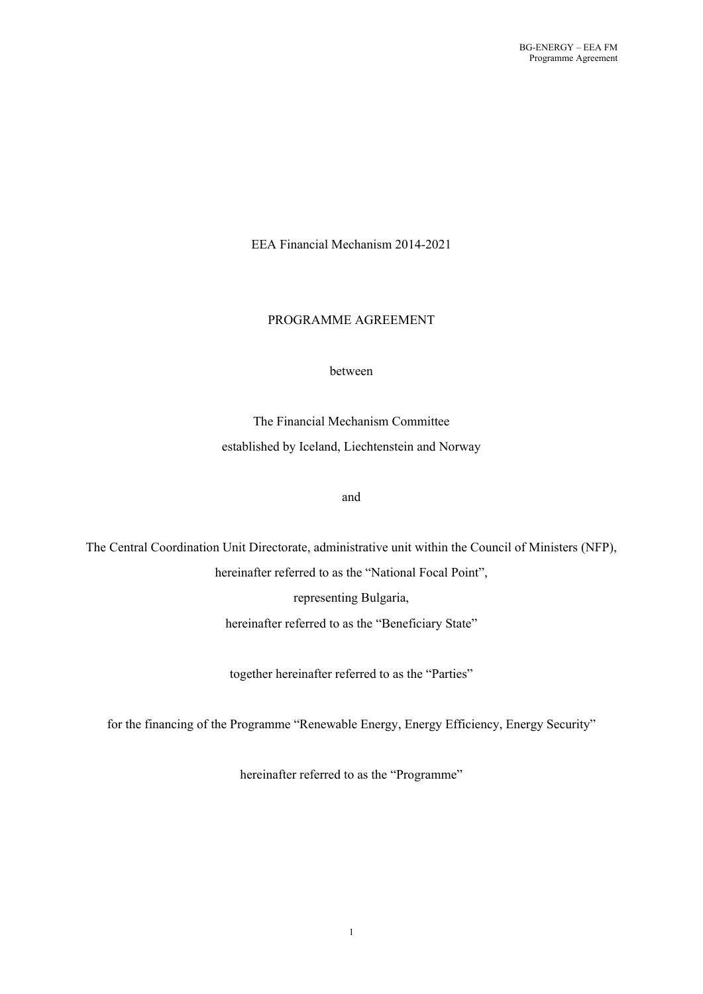EEA Financial Mechanism 2014-2021

## PROGRAMME AGREEMENT

#### between

The Financial Mechanism Committee established by Iceland, Liechtenstein and Norway

#### and

The Central Coordination Unit Directorate, administrative unit within the Council of Ministers (NFP), hereinafter referred to as the "National Focal Point", representing Bulgaria, hereinafter referred to as the "Beneficiary State"

together hereinafter referred to as the "Parties"

for the financing of the Programme "Renewable Energy, Energy Efficiency, Energy Security"

hereinafter referred to as the "Programme"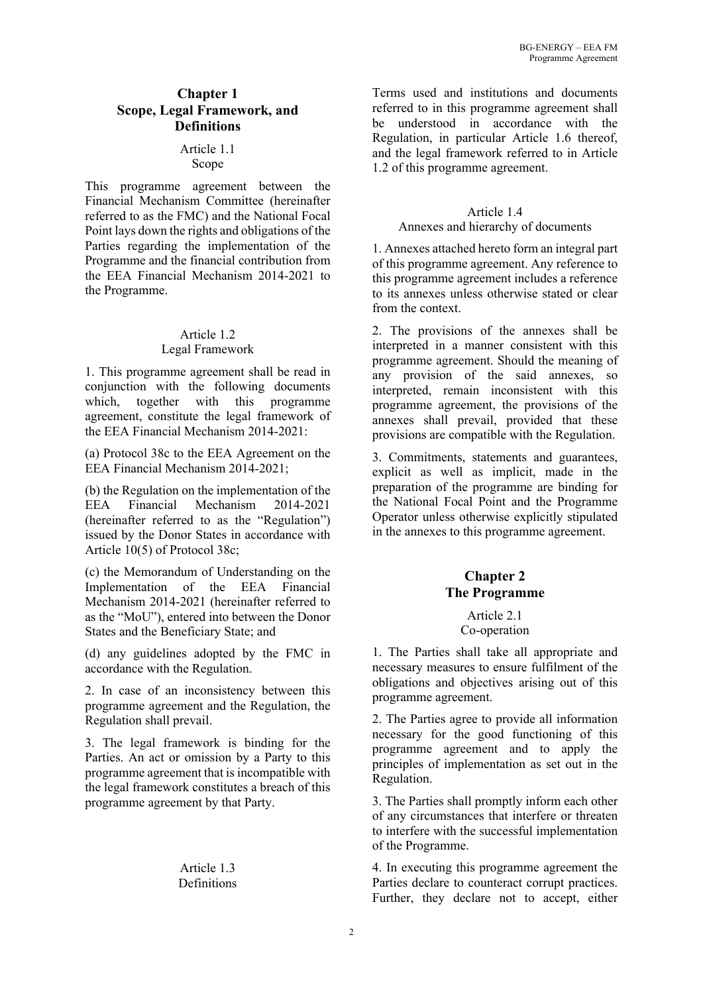#### **Chapter 1 Scope, Legal Framework, and Definitions**

#### Article 1.1 Scope

This programme agreement between the Financial Mechanism Committee (hereinafter referred to as the FMC) and the National Focal Point lays down the rights and obligations of the Parties regarding the implementation of the Programme and the financial contribution from the EEA Financial Mechanism 2014-2021 to the Programme.

#### Article 1.2 Legal Framework

1. This programme agreement shall be read in conjunction with the following documents which, together with this programme agreement, constitute the legal framework of the EEA Financial Mechanism 2014-2021:

(a) Protocol 38c to the EEA Agreement on the EEA Financial Mechanism 2014-2021;

(b) the Regulation on the implementation of the EEA Financial Mechanism 2014-2021 (hereinafter referred to as the "Regulation") issued by the Donor States in accordance with Article 10(5) of Protocol 38c;

(c) the Memorandum of Understanding on the Implementation of the EEA Financial Mechanism 2014-2021 (hereinafter referred to as the "MoU"), entered into between the Donor States and the Beneficiary State; and

(d) any guidelines adopted by the FMC in accordance with the Regulation.

2. In case of an inconsistency between this programme agreement and the Regulation, the Regulation shall prevail.

3. The legal framework is binding for the Parties. An act or omission by a Party to this programme agreement that is incompatible with the legal framework constitutes a breach of this programme agreement by that Party.

#### Article 1.3 Definitions

Terms used and institutions and documents referred to in this programme agreement shall be understood in accordance with the Regulation, in particular Article 1.6 thereof, and the legal framework referred to in Article 1.2 of this programme agreement.

## Article 1.4

#### Annexes and hierarchy of documents

1. Annexes attached hereto form an integral part of this programme agreement. Any reference to this programme agreement includes a reference to its annexes unless otherwise stated or clear from the context.

2. The provisions of the annexes shall be interpreted in a manner consistent with this programme agreement. Should the meaning of any provision of the said annexes, so interpreted, remain inconsistent with this programme agreement, the provisions of the annexes shall prevail, provided that these provisions are compatible with the Regulation.

3. Commitments, statements and guarantees, explicit as well as implicit, made in the preparation of the programme are binding for the National Focal Point and the Programme Operator unless otherwise explicitly stipulated in the annexes to this programme agreement.

# **Chapter 2 The Programme**

#### Article 2.1 Co-operation

1. The Parties shall take all appropriate and necessary measures to ensure fulfilment of the obligations and objectives arising out of this programme agreement.

2. The Parties agree to provide all information necessary for the good functioning of this programme agreement and to apply the principles of implementation as set out in the Regulation.

3. The Parties shall promptly inform each other of any circumstances that interfere or threaten to interfere with the successful implementation of the Programme.

4. In executing this programme agreement the Parties declare to counteract corrupt practices. Further, they declare not to accept, either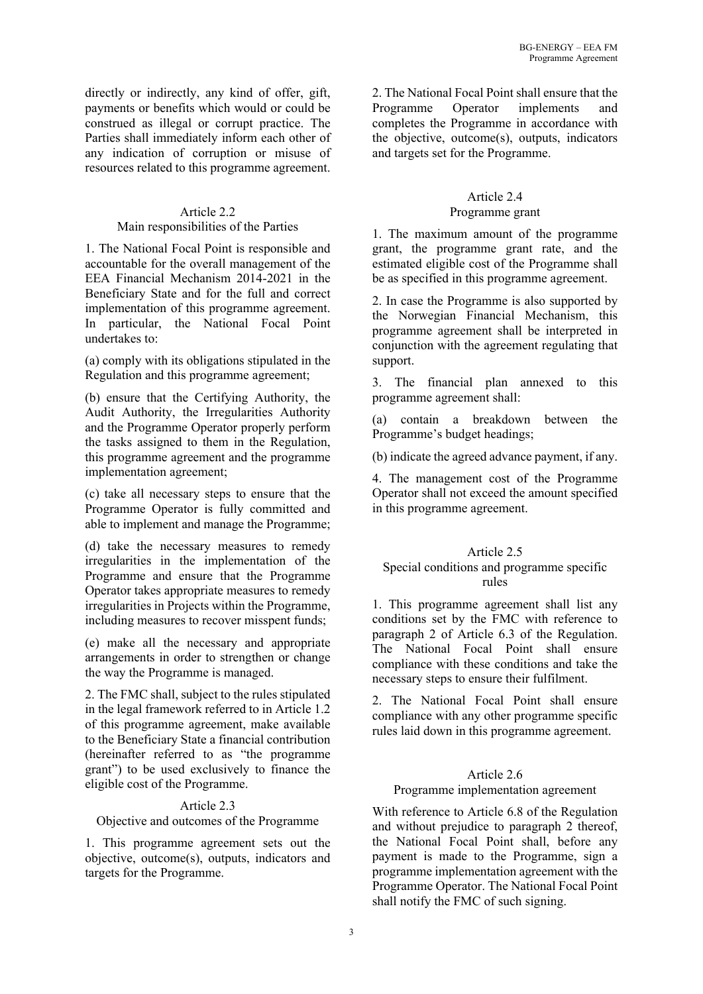directly or indirectly, any kind of offer, gift, payments or benefits which would or could be construed as illegal or corrupt practice. The Parties shall immediately inform each other of any indication of corruption or misuse of resources related to this programme agreement.

# Article 2.2

## Main responsibilities of the Parties

1. The National Focal Point is responsible and accountable for the overall management of the EEA Financial Mechanism 2014-2021 in the Beneficiary State and for the full and correct implementation of this programme agreement. In particular, the National Focal Point undertakes to:

(a) comply with its obligations stipulated in the Regulation and this programme agreement;

(b) ensure that the Certifying Authority, the Audit Authority, the Irregularities Authority and the Programme Operator properly perform the tasks assigned to them in the Regulation, this programme agreement and the programme implementation agreement;

(c) take all necessary steps to ensure that the Programme Operator is fully committed and able to implement and manage the Programme;

(d) take the necessary measures to remedy irregularities in the implementation of the Programme and ensure that the Programme Operator takes appropriate measures to remedy irregularities in Projects within the Programme, including measures to recover misspent funds;

(e) make all the necessary and appropriate arrangements in order to strengthen or change the way the Programme is managed.

2. The FMC shall, subject to the rules stipulated in the legal framework referred to in Article 1.2 of this programme agreement, make available to the Beneficiary State a financial contribution (hereinafter referred to as "the programme grant") to be used exclusively to finance the eligible cost of the Programme.

#### Article 2.3

Objective and outcomes of the Programme

1. This programme agreement sets out the objective, outcome(s), outputs, indicators and targets for the Programme.

2. The National Focal Point shall ensure that the Programme Operator implements and completes the Programme in accordance with the objective, outcome(s), outputs, indicators and targets set for the Programme.

# Article 2.4

# Programme grant

1. The maximum amount of the programme grant, the programme grant rate, and the estimated eligible cost of the Programme shall be as specified in this programme agreement.

2. In case the Programme is also supported by the Norwegian Financial Mechanism, this programme agreement shall be interpreted in conjunction with the agreement regulating that support.

3. The financial plan annexed to this programme agreement shall:

(a) contain a breakdown between the Programme's budget headings;

(b) indicate the agreed advance payment, if any.

4. The management cost of the Programme Operator shall not exceed the amount specified in this programme agreement.

# Article 2.5

# Special conditions and programme specific rules

1. This programme agreement shall list any conditions set by the FMC with reference to paragraph 2 of Article 6.3 of the Regulation. The National Focal Point shall ensure compliance with these conditions and take the necessary steps to ensure their fulfilment.

2. The National Focal Point shall ensure compliance with any other programme specific rules laid down in this programme agreement.

# Article 2.6

#### Programme implementation agreement

With reference to Article 6.8 of the Regulation and without prejudice to paragraph 2 thereof, the National Focal Point shall, before any payment is made to the Programme, sign a programme implementation agreement with the Programme Operator. The National Focal Point shall notify the FMC of such signing.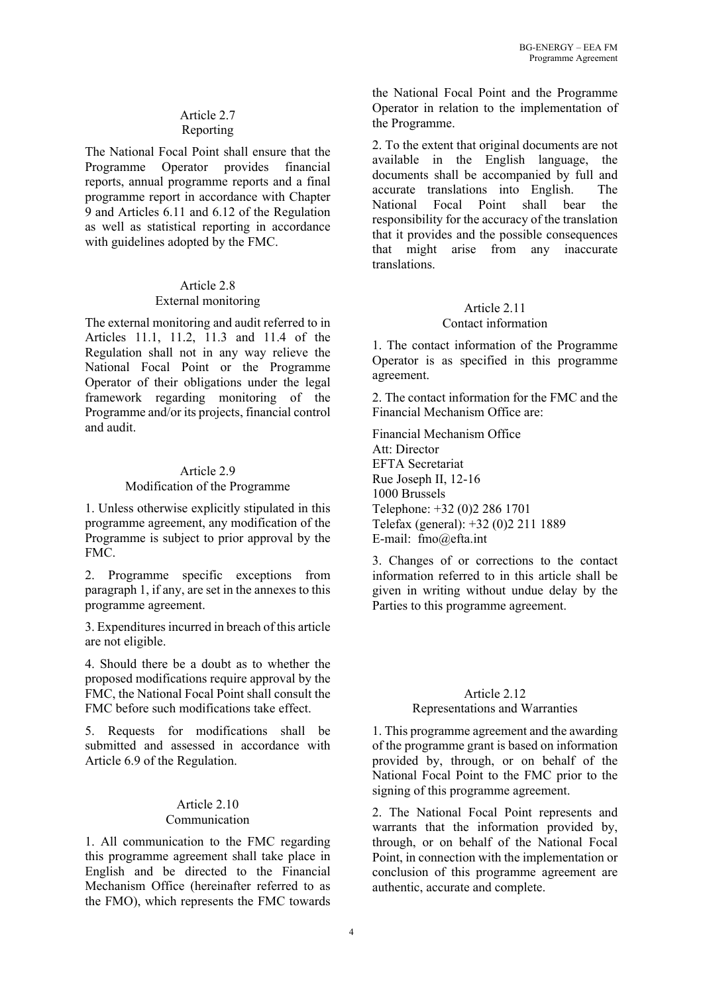# Article 2.7 Reporting

The National Focal Point shall ensure that the Programme Operator provides financial reports, annual programme reports and a final programme report in accordance with Chapter 9 and Articles 6.11 and 6.12 of the Regulation as well as statistical reporting in accordance with guidelines adopted by the FMC.

## Article 2.8 External monitoring

The external monitoring and audit referred to in Articles 11.1, 11.2, 11.3 and 11.4 of the Regulation shall not in any way relieve the National Focal Point or the Programme Operator of their obligations under the legal framework regarding monitoring of the Programme and/or its projects, financial control and audit.

# Article 2.9

## Modification of the Programme

1. Unless otherwise explicitly stipulated in this programme agreement, any modification of the Programme is subject to prior approval by the FMC.

2. Programme specific exceptions from paragraph 1, if any, are set in the annexes to this programme agreement.

3. Expenditures incurred in breach of this article are not eligible.

4. Should there be a doubt as to whether the proposed modifications require approval by the FMC, the National Focal Point shall consult the FMC before such modifications take effect.

5. Requests for modifications shall be submitted and assessed in accordance with Article 6.9 of the Regulation.

#### Article 2.10 Communication

1. All communication to the FMC regarding this programme agreement shall take place in English and be directed to the Financial Mechanism Office (hereinafter referred to as the FMO), which represents the FMC towards the National Focal Point and the Programme Operator in relation to the implementation of the Programme.

2. To the extent that original documents are not available in the English language, the documents shall be accompanied by full and accurate translations into English. The National Focal Point shall bear the responsibility for the accuracy of the translation that it provides and the possible consequences that might arise from any inaccurate translations.

#### Article 2.11 Contact information

1. The contact information of the Programme Operator is as specified in this programme agreement.

2. The contact information for the FMC and the Financial Mechanism Office are:

Financial Mechanism Office Att: Director EFTA Secretariat Rue Joseph II, 12-16 1000 Brussels Telephone: +32 (0)2 286 1701 Telefax (general): +32 (0)2 211 1889 E-mail: fmo@efta.int

3. Changes of or corrections to the contact information referred to in this article shall be given in writing without undue delay by the Parties to this programme agreement.

## Article 2.12 Representations and Warranties

1. This programme agreement and the awarding of the programme grant is based on information provided by, through, or on behalf of the National Focal Point to the FMC prior to the signing of this programme agreement.

2. The National Focal Point represents and warrants that the information provided by, through, or on behalf of the National Focal Point, in connection with the implementation or conclusion of this programme agreement are authentic, accurate and complete.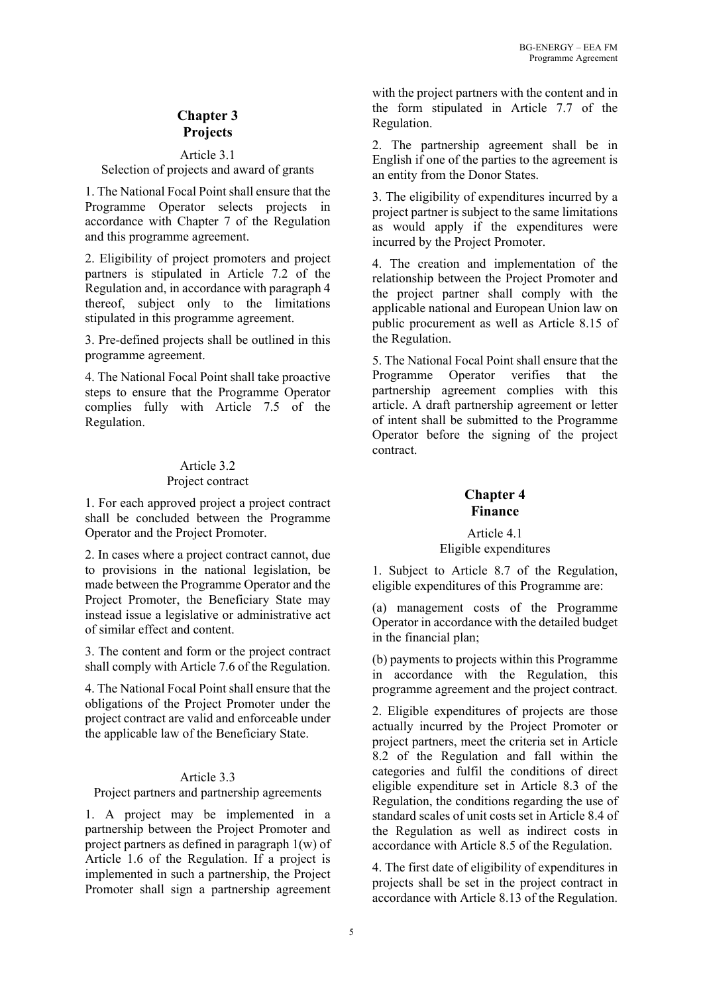# **Chapter 3 Projects**

#### Article 3.1 Selection of projects and award of grants

1. The National Focal Point shall ensure that the Programme Operator selects projects in accordance with Chapter 7 of the Regulation and this programme agreement.

2. Eligibility of project promoters and project partners is stipulated in Article 7.2 of the Regulation and, in accordance with paragraph 4 thereof, subject only to the limitations stipulated in this programme agreement.

3. Pre-defined projects shall be outlined in this programme agreement.

4. The National Focal Point shall take proactive steps to ensure that the Programme Operator complies fully with Article 7.5 of the Regulation.

# Article 3.2 Project contract

1. For each approved project a project contract shall be concluded between the Programme Operator and the Project Promoter.

2. In cases where a project contract cannot, due to provisions in the national legislation, be made between the Programme Operator and the Project Promoter, the Beneficiary State may instead issue a legislative or administrative act of similar effect and content.

3. The content and form or the project contract shall comply with Article 7.6 of the Regulation.

4. The National Focal Point shall ensure that the obligations of the Project Promoter under the project contract are valid and enforceable under the applicable law of the Beneficiary State.

# Article 3.3

Project partners and partnership agreements

1. A project may be implemented in a partnership between the Project Promoter and project partners as defined in paragraph 1(w) of Article 1.6 of the Regulation. If a project is implemented in such a partnership, the Project Promoter shall sign a partnership agreement with the project partners with the content and in the form stipulated in Article 7.7 of the Regulation.

2. The partnership agreement shall be in English if one of the parties to the agreement is an entity from the Donor States.

3. The eligibility of expenditures incurred by a project partner is subject to the same limitations as would apply if the expenditures were incurred by the Project Promoter.

4. The creation and implementation of the relationship between the Project Promoter and the project partner shall comply with the applicable national and European Union law on public procurement as well as Article 8.15 of the Regulation.

5. The National Focal Point shall ensure that the Programme Operator verifies that the partnership agreement complies with this article. A draft partnership agreement or letter of intent shall be submitted to the Programme Operator before the signing of the project contract.

# **Chapter 4 Finance**

# Article 4.1 Eligible expenditures

1. Subject to Article 8.7 of the Regulation, eligible expenditures of this Programme are:

(a) management costs of the Programme Operator in accordance with the detailed budget in the financial plan;

(b) payments to projects within this Programme in accordance with the Regulation, this programme agreement and the project contract.

2. Eligible expenditures of projects are those actually incurred by the Project Promoter or project partners, meet the criteria set in Article 8.2 of the Regulation and fall within the categories and fulfil the conditions of direct eligible expenditure set in Article 8.3 of the Regulation, the conditions regarding the use of standard scales of unit costs set in Article 8.4 of the Regulation as well as indirect costs in accordance with Article 8.5 of the Regulation.

4. The first date of eligibility of expenditures in projects shall be set in the project contract in accordance with Article 8.13 of the Regulation.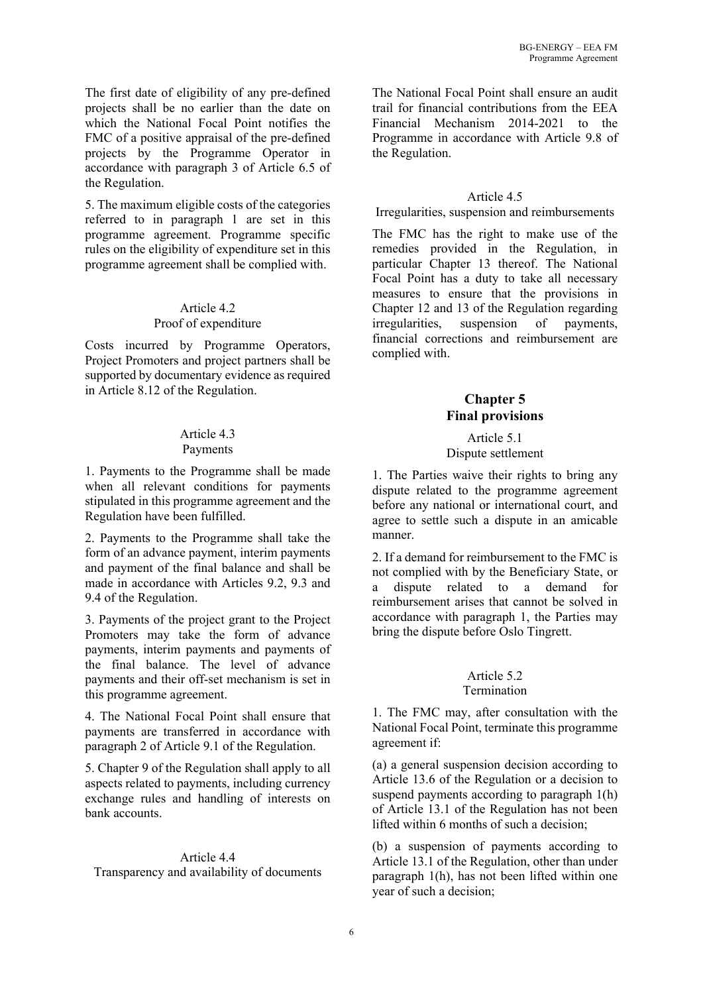The first date of eligibility of any pre-defined projects shall be no earlier than the date on which the National Focal Point notifies the FMC of a positive appraisal of the pre-defined projects by the Programme Operator in accordance with paragraph 3 of Article 6.5 of the Regulation.

5. The maximum eligible costs of the categories referred to in paragraph 1 are set in this programme agreement. Programme specific rules on the eligibility of expenditure set in this programme agreement shall be complied with.

# Article 4.2 Proof of expenditure

Costs incurred by Programme Operators, Project Promoters and project partners shall be supported by documentary evidence as required in Article 8.12 of the Regulation.

#### Article 4.3 Payments

1. Payments to the Programme shall be made when all relevant conditions for payments stipulated in this programme agreement and the Regulation have been fulfilled.

2. Payments to the Programme shall take the form of an advance payment, interim payments and payment of the final balance and shall be made in accordance with Articles 9.2, 9.3 and 9.4 of the Regulation.

3. Payments of the project grant to the Project Promoters may take the form of advance payments, interim payments and payments of the final balance. The level of advance payments and their off-set mechanism is set in this programme agreement.

4. The National Focal Point shall ensure that payments are transferred in accordance with paragraph 2 of Article 9.1 of the Regulation.

5. Chapter 9 of the Regulation shall apply to all aspects related to payments, including currency exchange rules and handling of interests on bank accounts.

# Article 4.4

Transparency and availability of documents

The National Focal Point shall ensure an audit trail for financial contributions from the EEA Financial Mechanism 2014-2021 to the Programme in accordance with Article 9.8 of the Regulation.

## Article 4.5

Irregularities, suspension and reimbursements

The FMC has the right to make use of the remedies provided in the Regulation, in particular Chapter 13 thereof. The National Focal Point has a duty to take all necessary measures to ensure that the provisions in Chapter 12 and 13 of the Regulation regarding irregularities, suspension of payments, financial corrections and reimbursement are complied with.

# **Chapter 5 Final provisions**

#### Article 5.1 Dispute settlement

1. The Parties waive their rights to bring any dispute related to the programme agreement before any national or international court, and agree to settle such a dispute in an amicable manner.

2. If a demand for reimbursement to the FMC is not complied with by the Beneficiary State, or a dispute related to a demand for reimbursement arises that cannot be solved in accordance with paragraph 1, the Parties may bring the dispute before Oslo Tingrett.

#### Article 5.2 Termination

1. The FMC may, after consultation with the National Focal Point, terminate this programme agreement if:

(a) a general suspension decision according to Article 13.6 of the Regulation or a decision to suspend payments according to paragraph 1(h) of Article 13.1 of the Regulation has not been lifted within 6 months of such a decision;

(b) a suspension of payments according to Article 13.1 of the Regulation, other than under paragraph 1(h), has not been lifted within one year of such a decision;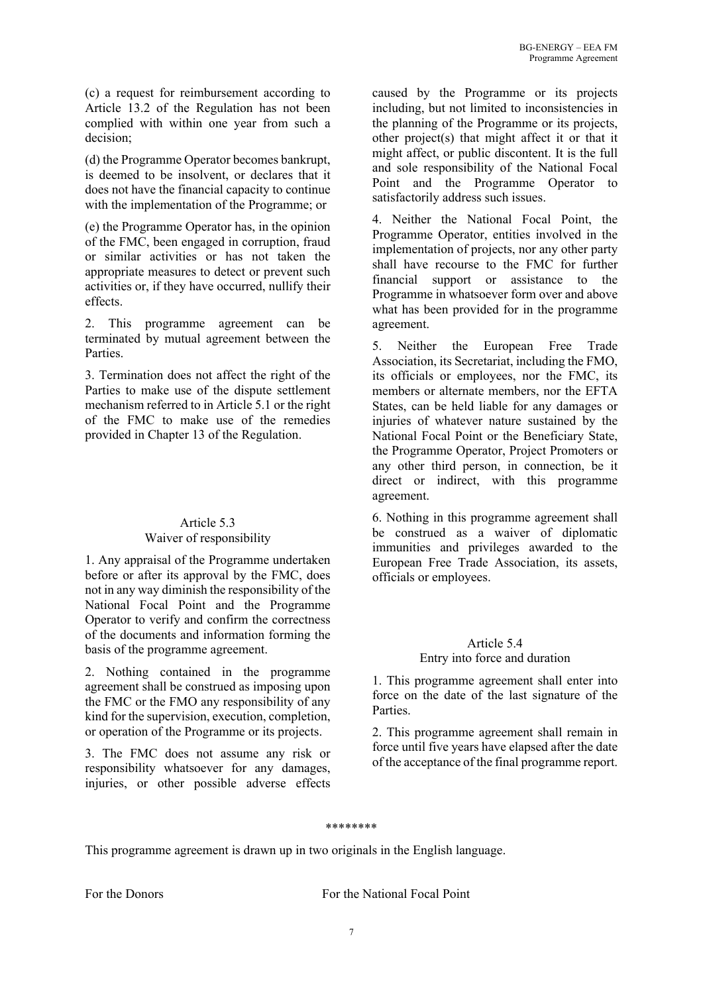(c) a request for reimbursement according to Article 13.2 of the Regulation has not been complied with within one year from such a decision;

(d) the Programme Operator becomes bankrupt, is deemed to be insolvent, or declares that it does not have the financial capacity to continue with the implementation of the Programme; or

(e) the Programme Operator has, in the opinion of the FMC, been engaged in corruption, fraud or similar activities or has not taken the appropriate measures to detect or prevent such activities or, if they have occurred, nullify their effects.

2. This programme agreement can be terminated by mutual agreement between the Parties.

3. Termination does not affect the right of the Parties to make use of the dispute settlement mechanism referred to in Article 5.1 or the right of the FMC to make use of the remedies provided in Chapter 13 of the Regulation.

# Article 5.3 Waiver of responsibility

1. Any appraisal of the Programme undertaken before or after its approval by the FMC, does not in any way diminish the responsibility of the National Focal Point and the Programme Operator to verify and confirm the correctness of the documents and information forming the basis of the programme agreement.

2. Nothing contained in the programme agreement shall be construed as imposing upon the FMC or the FMO any responsibility of any kind for the supervision, execution, completion, or operation of the Programme or its projects.

3. The FMC does not assume any risk or responsibility whatsoever for any damages, injuries, or other possible adverse effects

caused by the Programme or its projects including, but not limited to inconsistencies in the planning of the Programme or its projects, other project(s) that might affect it or that it might affect, or public discontent. It is the full and sole responsibility of the National Focal Point and the Programme Operator to satisfactorily address such issues.

4. Neither the National Focal Point, the Programme Operator, entities involved in the implementation of projects, nor any other party shall have recourse to the FMC for further financial support or assistance to the Programme in whatsoever form over and above what has been provided for in the programme agreement.

5. Neither the European Free Trade Association, its Secretariat, including the FMO, its officials or employees, nor the FMC, its members or alternate members, nor the EFTA States, can be held liable for any damages or injuries of whatever nature sustained by the National Focal Point or the Beneficiary State, the Programme Operator, Project Promoters or any other third person, in connection, be it direct or indirect, with this programme agreement.

6. Nothing in this programme agreement shall be construed as a waiver of diplomatic immunities and privileges awarded to the European Free Trade Association, its assets, officials or employees.

# Article 5.4

#### Entry into force and duration

1. This programme agreement shall enter into force on the date of the last signature of the Parties.

2. This programme agreement shall remain in force until five years have elapsed after the date of the acceptance of the final programme report.

#### \*\*\*\*\*\*\*\*

This programme agreement is drawn up in two originals in the English language.

For the Donors For the National Focal Point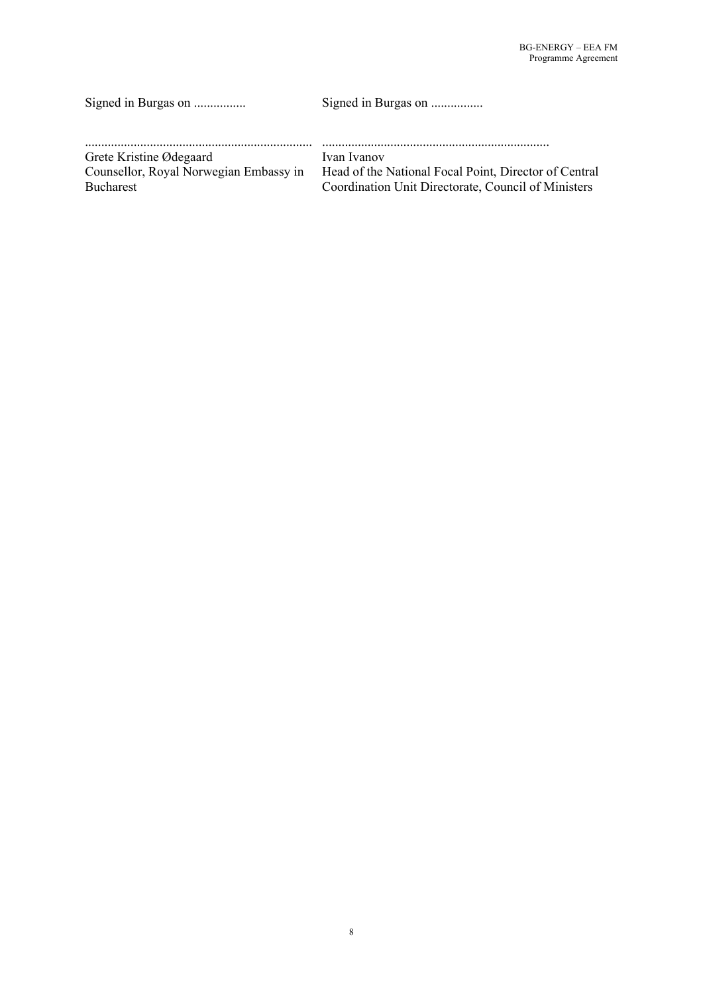| Signed in Burgas on                    | Signed in Burgas on                                   |
|----------------------------------------|-------------------------------------------------------|
| Grete Kristine Ødegaard                | Ivan Ivanov                                           |
| Counsellor, Royal Norwegian Embassy in | Head of the National Focal Point, Director of Central |
| <b>Bucharest</b>                       | Coordination Unit Directorate, Council of Ministers   |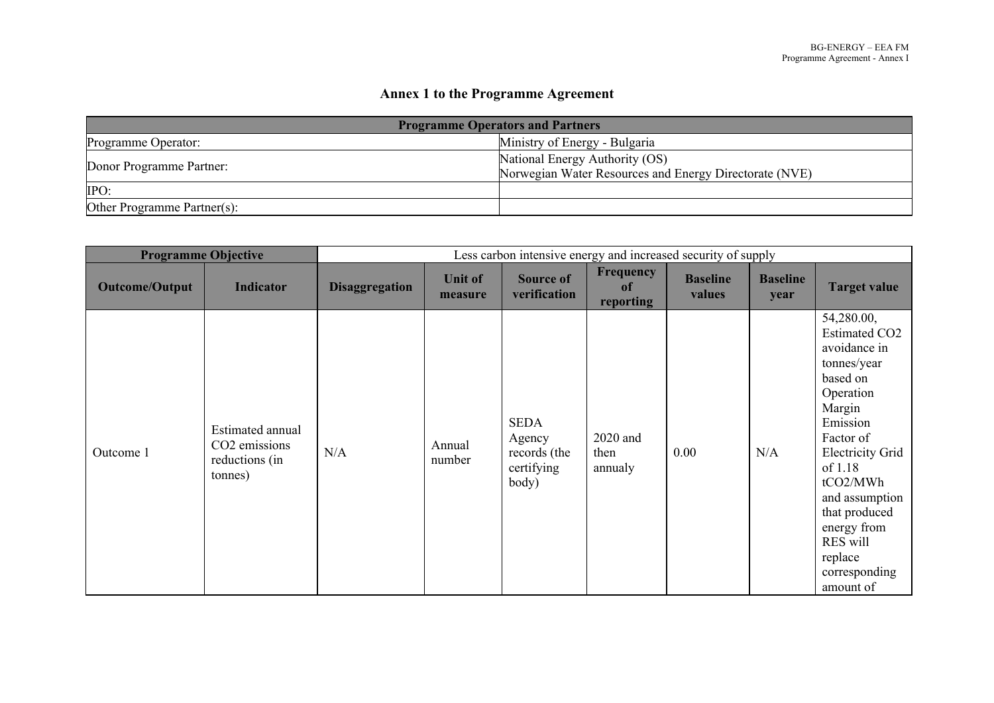# **Annex 1 to the Programme Agreement**

| <b>Programme Operators and Partners</b> |                                                                                          |  |  |  |  |  |  |
|-----------------------------------------|------------------------------------------------------------------------------------------|--|--|--|--|--|--|
| Programme Operator:                     | Ministry of Energy - Bulgaria                                                            |  |  |  |  |  |  |
| Donor Programme Partner:                | National Energy Authority (OS)<br>Norwegian Water Resources and Energy Directorate (NVE) |  |  |  |  |  |  |
| IPO:                                    |                                                                                          |  |  |  |  |  |  |
| Other Programme Partner(s):             |                                                                                          |  |  |  |  |  |  |

| <b>Programme Objective</b> |                                                                |                       |                           | Less carbon intensive energy and increased security of supply |                                     |                           |                         |                                                                                                                                                                                                                                                                                        |
|----------------------------|----------------------------------------------------------------|-----------------------|---------------------------|---------------------------------------------------------------|-------------------------------------|---------------------------|-------------------------|----------------------------------------------------------------------------------------------------------------------------------------------------------------------------------------------------------------------------------------------------------------------------------------|
| <b>Outcome/Output</b>      | Indicator                                                      | <b>Disaggregation</b> | <b>Unit of</b><br>measure | <b>Source of</b><br>verification                              | <b>Frequency</b><br>of<br>reporting | <b>Baseline</b><br>values | <b>Baseline</b><br>year | <b>Target value</b>                                                                                                                                                                                                                                                                    |
| Outcome 1                  | Estimated annual<br>CO2 emissions<br>reductions (in<br>tonnes) | N/A                   | Annual<br>number          | <b>SEDA</b><br>Agency<br>records (the<br>certifying<br>body)  | 2020 and<br>then<br>annualy         | 0.00                      | N/A                     | 54,280.00,<br><b>Estimated CO2</b><br>avoidance in<br>tonnes/year<br>based on<br>Operation<br>Margin<br>Emission<br>Factor of<br><b>Electricity Grid</b><br>of 1.18<br>tCO2/MWh<br>and assumption<br>that produced<br>energy from<br>RES will<br>replace<br>corresponding<br>amount of |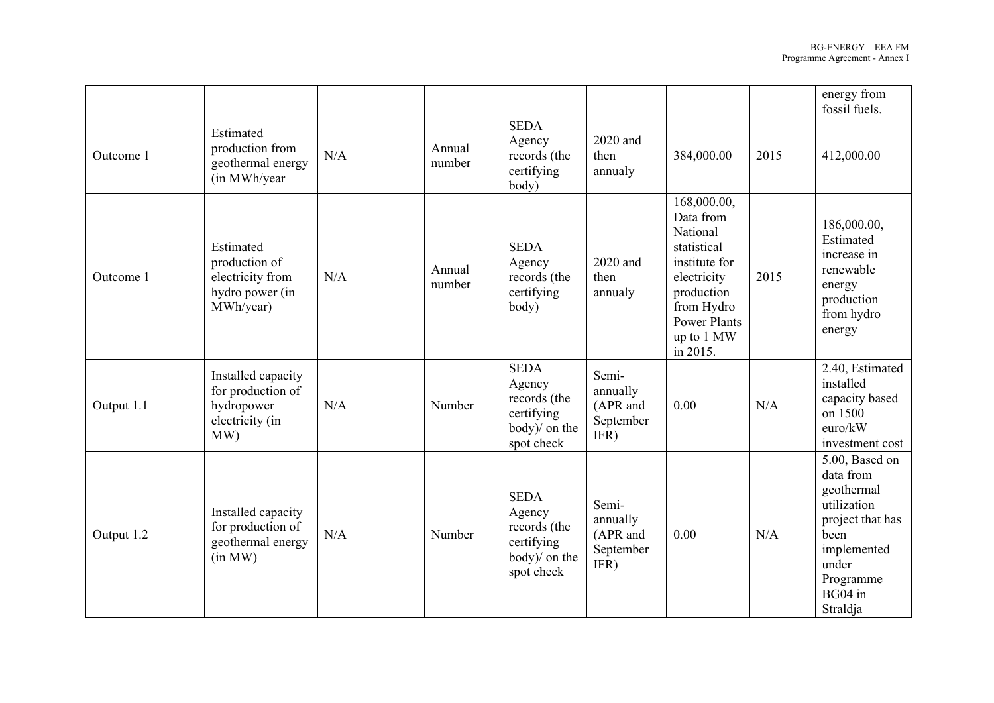|            |                                                                                 |     |                  |                                                                                    |                                                    |                                                                                                                                                                  |      | energy from<br>fossil fuels.                                                                                                                     |
|------------|---------------------------------------------------------------------------------|-----|------------------|------------------------------------------------------------------------------------|----------------------------------------------------|------------------------------------------------------------------------------------------------------------------------------------------------------------------|------|--------------------------------------------------------------------------------------------------------------------------------------------------|
| Outcome 1  | Estimated<br>production from<br>geothermal energy<br>(in MWh/year)              | N/A | Annual<br>number | <b>SEDA</b><br>Agency<br>records (the<br>certifying<br>body)                       | 2020 and<br>then<br>annualy                        | 384,000.00                                                                                                                                                       | 2015 | 412,000.00                                                                                                                                       |
| Outcome 1  | Estimated<br>production of<br>electricity from<br>hydro power (in<br>MWh/year)  | N/A | Annual<br>number | <b>SEDA</b><br>Agency<br>records (the<br>certifying<br>body)                       | 2020 and<br>then<br>annualy                        | 168,000.00,<br>Data from<br>National<br>statistical<br>institute for<br>electricity<br>production<br>from Hydro<br><b>Power Plants</b><br>up to 1 MW<br>in 2015. | 2015 | 186,000.00,<br>Estimated<br>increase in<br>renewable<br>energy<br>production<br>from hydro<br>energy                                             |
| Output 1.1 | Installed capacity<br>for production of<br>hydropower<br>electricity (in<br>MW) | N/A | Number           | <b>SEDA</b><br>Agency<br>records (the<br>certifying<br>body)/ on the<br>spot check | Semi-<br>annually<br>(APR and<br>September<br>IFR) | 0.00                                                                                                                                                             | N/A  | 2.40, Estimated<br>installed<br>capacity based<br>on 1500<br>euro/kW<br>investment cost                                                          |
| Output 1.2 | Installed capacity<br>for production of<br>geothermal energy<br>(in MW)         | N/A | Number           | <b>SEDA</b><br>Agency<br>records (the<br>certifying<br>body)/ on the<br>spot check | Semi-<br>annually<br>(APR and<br>September<br>IFR) | 0.00                                                                                                                                                             | N/A  | 5.00, Based on<br>data from<br>geothermal<br>utilization<br>project that has<br>been<br>implemented<br>under<br>Programme<br>BG04 in<br>Straldja |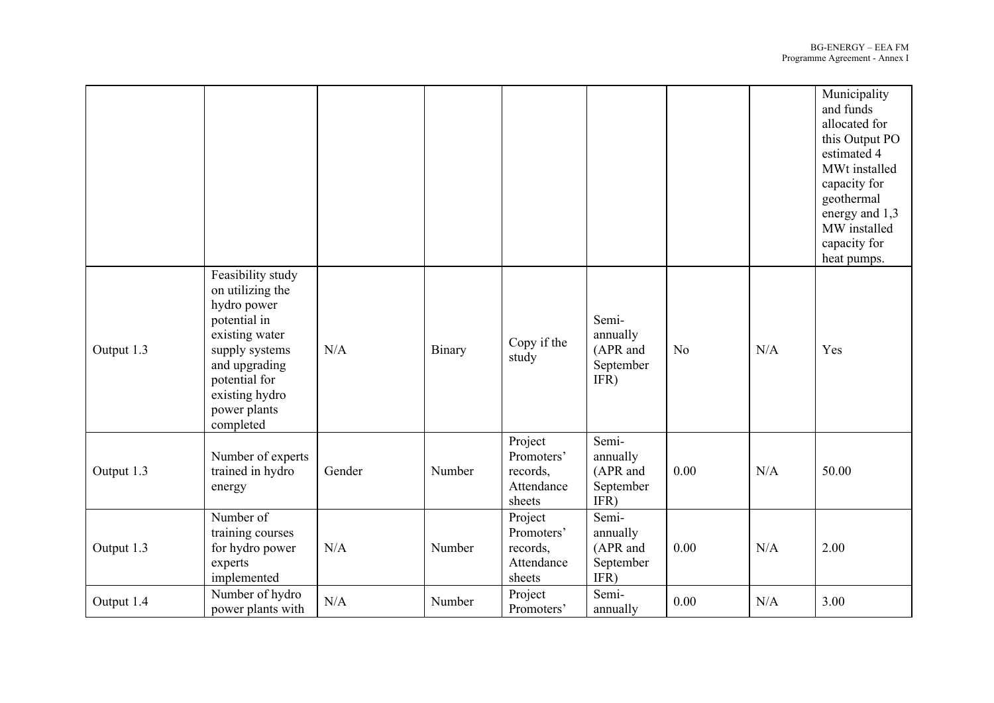|            |                                                                                                                                                                                           |        |        |                                                           |                                                    |                |     | Municipality<br>and funds<br>allocated for<br>this Output PO<br>estimated 4<br>MWt installed<br>capacity for<br>geothermal<br>energy and 1,3<br>MW installed<br>capacity for<br>heat pumps. |
|------------|-------------------------------------------------------------------------------------------------------------------------------------------------------------------------------------------|--------|--------|-----------------------------------------------------------|----------------------------------------------------|----------------|-----|---------------------------------------------------------------------------------------------------------------------------------------------------------------------------------------------|
| Output 1.3 | Feasibility study<br>on utilizing the<br>hydro power<br>potential in<br>existing water<br>supply systems<br>and upgrading<br>potential for<br>existing hydro<br>power plants<br>completed | N/A    | Binary | Copy if the<br>study                                      | Semi-<br>annually<br>(APR and<br>September<br>IFR) | N <sub>o</sub> | N/A | Yes                                                                                                                                                                                         |
| Output 1.3 | Number of experts<br>trained in hydro<br>energy                                                                                                                                           | Gender | Number | Project<br>Promoters'<br>records,<br>Attendance<br>sheets | Semi-<br>annually<br>(APR and<br>September<br>IFR) | 0.00           | N/A | 50.00                                                                                                                                                                                       |
| Output 1.3 | Number of<br>training courses<br>for hydro power<br>experts<br>implemented                                                                                                                | N/A    | Number | Project<br>Promoters'<br>records,<br>Attendance<br>sheets | Semi-<br>annually<br>(APR and<br>September<br>IFR) | 0.00           | N/A | 2.00                                                                                                                                                                                        |
| Output 1.4 | Number of hydro<br>power plants with                                                                                                                                                      | N/A    | Number | Project<br>Promoters'                                     | Semi-<br>annually                                  | 0.00           | N/A | 3.00                                                                                                                                                                                        |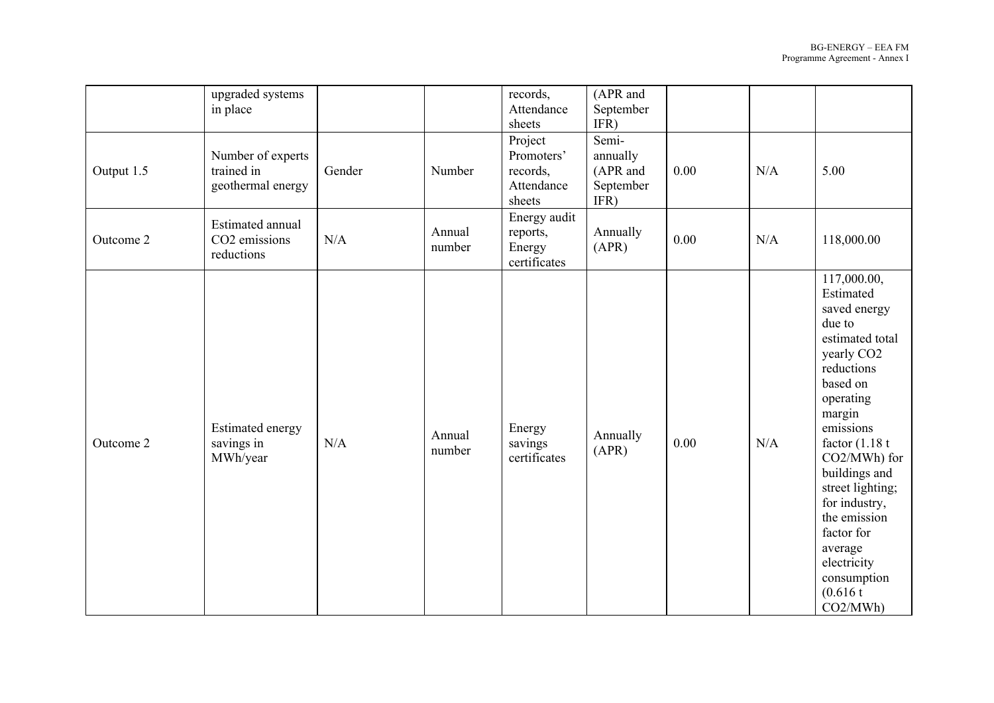|            | upgraded systems<br>in place                         |        |                  | records,<br>Attendance<br>sheets                          | (APR and<br>September<br>IFR)                      |      |     |                                                                                                                                                                                                                                                                                                                                                          |
|------------|------------------------------------------------------|--------|------------------|-----------------------------------------------------------|----------------------------------------------------|------|-----|----------------------------------------------------------------------------------------------------------------------------------------------------------------------------------------------------------------------------------------------------------------------------------------------------------------------------------------------------------|
| Output 1.5 | Number of experts<br>trained in<br>geothermal energy | Gender | Number           | Project<br>Promoters'<br>records,<br>Attendance<br>sheets | Semi-<br>annually<br>(APR and<br>September<br>IFR) | 0.00 | N/A | 5.00                                                                                                                                                                                                                                                                                                                                                     |
| Outcome 2  | Estimated annual<br>CO2 emissions<br>reductions      | N/A    | Annual<br>number | Energy audit<br>reports,<br>Energy<br>certificates        | Annually<br>(APR)                                  | 0.00 | N/A | 118,000.00                                                                                                                                                                                                                                                                                                                                               |
| Outcome 2  | <b>Estimated energy</b><br>savings in<br>MWh/year    | N/A    | Annual<br>number | Energy<br>savings<br>certificates                         | Annually<br>(APR)                                  | 0.00 | N/A | 117,000.00,<br>Estimated<br>saved energy<br>due to<br>estimated total<br>yearly CO <sub>2</sub><br>reductions<br>based on<br>operating<br>margin<br>emissions<br>factor $(1.18 t)$<br>CO2/MWh) for<br>buildings and<br>street lighting;<br>for industry,<br>the emission<br>factor for<br>average<br>electricity<br>consumption<br>(0.616 t)<br>CO2/MWh) |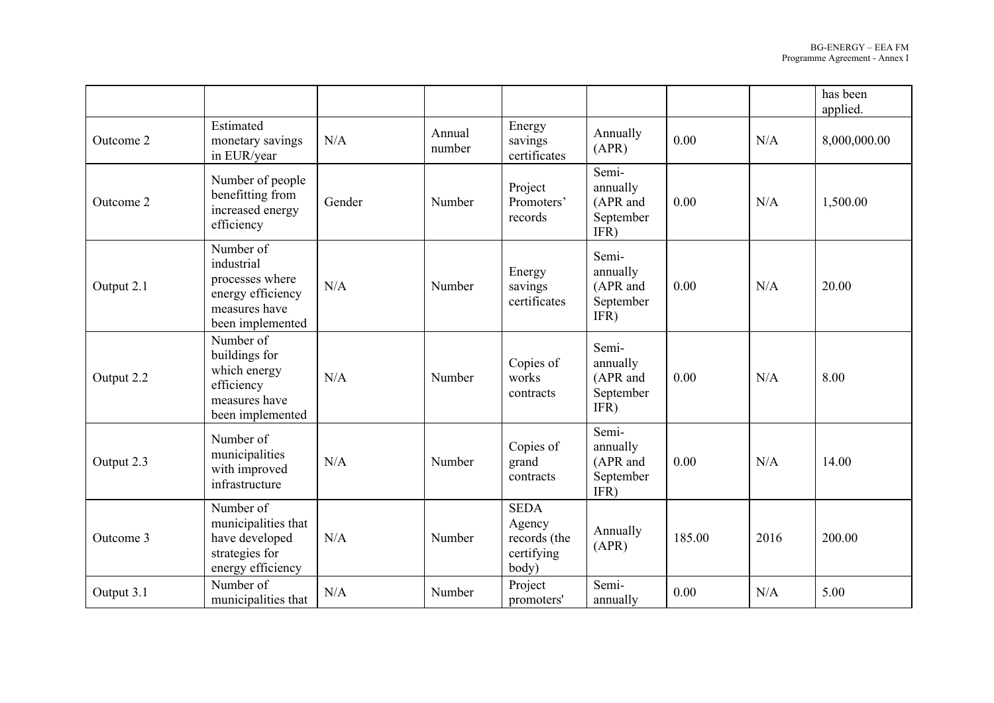|            |                                                                                                      |        |                  |                                                              |                                                    |        |      | has been<br>applied. |
|------------|------------------------------------------------------------------------------------------------------|--------|------------------|--------------------------------------------------------------|----------------------------------------------------|--------|------|----------------------|
| Outcome 2  | Estimated<br>monetary savings<br>in EUR/year                                                         | N/A    | Annual<br>number | Energy<br>savings<br>certificates                            | Annually<br>(APR)                                  | 0.00   | N/A  | 8,000,000.00         |
| Outcome 2  | Number of people<br>benefitting from<br>increased energy<br>efficiency                               | Gender | Number           | Project<br>Promoters'<br>records                             | Semi-<br>annually<br>(APR and<br>September<br>IFR) | 0.00   | N/A  | 1,500.00             |
| Output 2.1 | Number of<br>industrial<br>processes where<br>energy efficiency<br>measures have<br>been implemented | N/A    | Number           | Energy<br>savings<br>certificates                            | Semi-<br>annually<br>(APR and<br>September<br>IFR) | 0.00   | N/A  | 20.00                |
| Output 2.2 | Number of<br>buildings for<br>which energy<br>efficiency<br>measures have<br>been implemented        | N/A    | Number           | Copies of<br>works<br>contracts                              | Semi-<br>annually<br>(APR and<br>September<br>IFR) | 0.00   | N/A  | 8.00                 |
| Output 2.3 | Number of<br>municipalities<br>with improved<br>infrastructure                                       | N/A    | Number           | Copies of<br>grand<br>contracts                              | Semi-<br>annually<br>(APR and<br>September<br>IFR) | 0.00   | N/A  | 14.00                |
| Outcome 3  | Number of<br>municipalities that<br>have developed<br>strategies for<br>energy efficiency            | N/A    | Number           | <b>SEDA</b><br>Agency<br>records (the<br>certifying<br>body) | Annually<br>(APR)                                  | 185.00 | 2016 | 200.00               |
| Output 3.1 | Number of<br>municipalities that                                                                     | N/A    | Number           | Project<br>promoters'                                        | Semi-<br>annually                                  | 0.00   | N/A  | 5.00                 |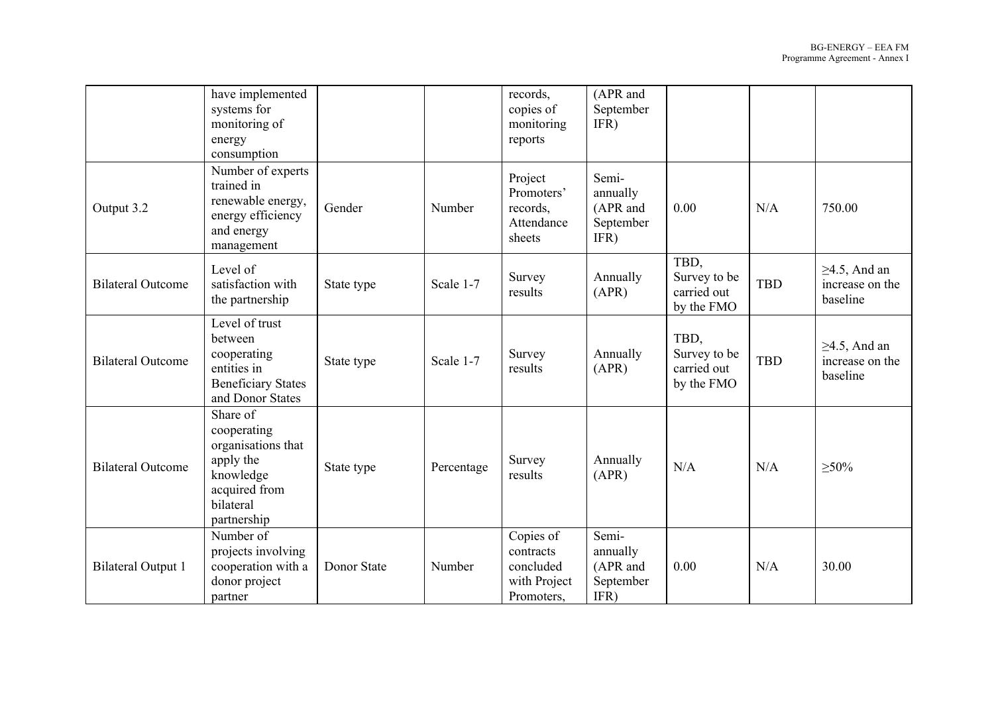|                                                                              | have implemented<br>systems for<br>monitoring of<br>energy<br>consumption                                            |             |            | records,<br>copies of<br>monitoring<br>reports                    | (APR and<br>September<br>IFR)                      |                                                   |            |                                                   |
|------------------------------------------------------------------------------|----------------------------------------------------------------------------------------------------------------------|-------------|------------|-------------------------------------------------------------------|----------------------------------------------------|---------------------------------------------------|------------|---------------------------------------------------|
| Output 3.2                                                                   | Number of experts<br>trained in<br>renewable energy,<br>energy efficiency<br>and energy<br>management                | Gender      | Number     | Project<br>Promoters'<br>records,<br>Attendance<br>sheets         | Semi-<br>annually<br>(APR and<br>September<br>IFR) | 0.00                                              | N/A        | 750.00                                            |
| Level of<br><b>Bilateral Outcome</b><br>satisfaction with<br>the partnership |                                                                                                                      | State type  | Scale 1-7  | Survey<br>results                                                 | Annually<br>(APR)                                  | TBD,<br>Survey to be<br>carried out<br>by the FMO | <b>TBD</b> | $\geq$ 4.5, And an<br>increase on the<br>baseline |
| <b>Bilateral Outcome</b>                                                     | Level of trust<br>between<br>cooperating<br>entities in<br><b>Beneficiary States</b><br>and Donor States             | State type  | Scale 1-7  | Survey<br>results                                                 | Annually<br>(APR)                                  | TBD,<br>Survey to be<br>carried out<br>by the FMO | <b>TBD</b> | $\geq$ 4.5, And an<br>increase on the<br>baseline |
| <b>Bilateral Outcome</b>                                                     | Share of<br>cooperating<br>organisations that<br>apply the<br>knowledge<br>acquired from<br>bilateral<br>partnership | State type  | Percentage | Survey<br>results                                                 | Annually<br>(APR)                                  | N/A                                               | N/A        | $\geq 50\%$                                       |
| <b>Bilateral Output 1</b>                                                    | Number of<br>projects involving<br>cooperation with a<br>donor project<br>partner                                    | Donor State | Number     | Copies of<br>contracts<br>concluded<br>with Project<br>Promoters, | Semi-<br>annually<br>(APR and<br>September<br>IFR) | 0.00                                              | N/A        | 30.00                                             |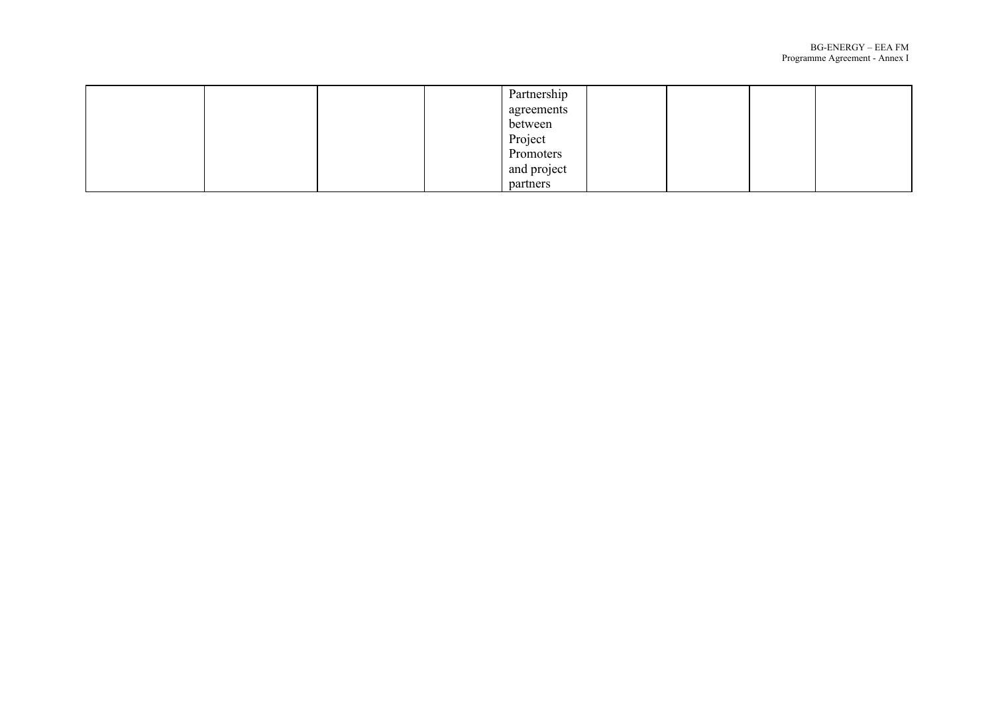|  |  | Partnership |  |  |
|--|--|-------------|--|--|
|  |  | agreements  |  |  |
|  |  | between     |  |  |
|  |  | Project     |  |  |
|  |  | Promoters   |  |  |
|  |  | and project |  |  |
|  |  | partners    |  |  |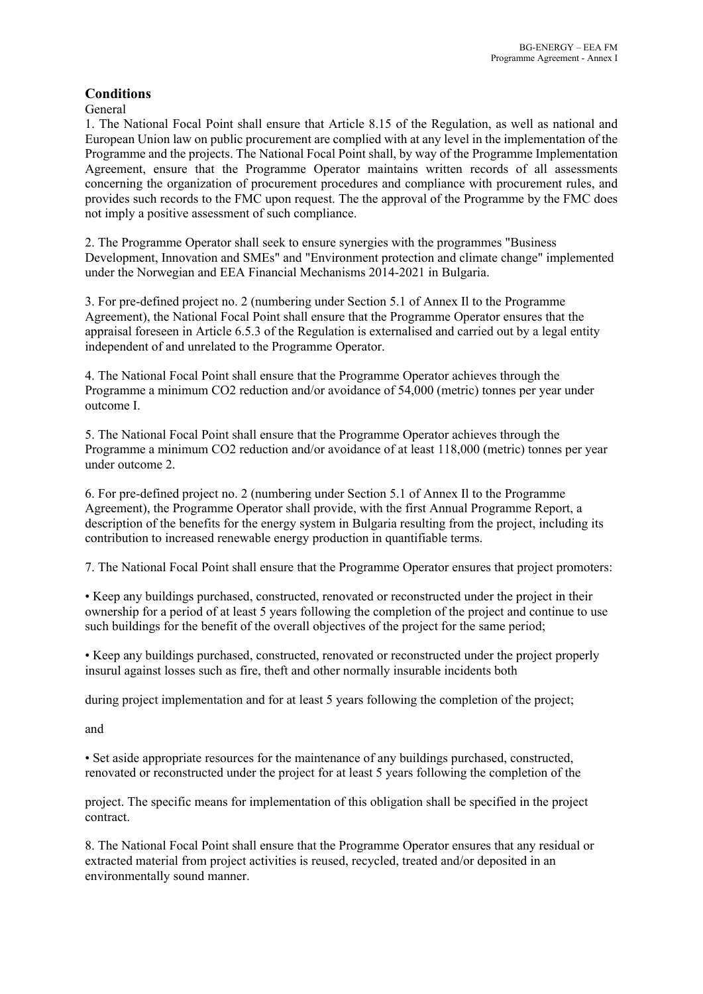# **Conditions**

General

1. The National Focal Point shall ensure that Article 8.15 of the Regulation, as well as national and European Union law on public procurement are complied with at any level in the implementation of the Programme and the projects. The National Focal Point shall, by way of the Programme Implementation Agreement, ensure that the Programme Operator maintains written records of all assessments concerning the organization of procurement procedures and compliance with procurement rules, and provides such records to the FMC upon request. The the approval of the Programme by the FMC does not imply a positive assessment of such compliance.

2. The Programme Operator shall seek to ensure synergies with the programmes "Business Development, Innovation and SMEs" and "Environment protection and climate change" implemented under the Norwegian and EEA Financial Mechanisms 2014-2021 in Bulgaria.

3. For pre-defined project no. 2 (numbering under Section 5.1 of Annex Il to the Programme Agreement), the National Focal Point shall ensure that the Programme Operator ensures that the appraisal foreseen in Article 6.5.3 of the Regulation is externalised and carried out by a legal entity independent of and unrelated to the Programme Operator.

4. The National Focal Point shall ensure that the Programme Operator achieves through the Programme a minimum CO2 reduction and/or avoidance of 54,000 (metric) tonnes per year under outcome I.

5. The National Focal Point shall ensure that the Programme Operator achieves through the Programme a minimum CO2 reduction and/or avoidance of at least 118,000 (metric) tonnes per year under outcome 2.

6. For pre-defined project no. 2 (numbering under Section 5.1 of Annex Il to the Programme Agreement), the Programme Operator shall provide, with the first Annual Programme Report, a description of the benefits for the energy system in Bulgaria resulting from the project, including its contribution to increased renewable energy production in quantifiable terms.

7. The National Focal Point shall ensure that the Programme Operator ensures that project promoters:

• Keep any buildings purchased, constructed, renovated or reconstructed under the project in their ownership for a period of at least 5 years following the completion of the project and continue to use such buildings for the benefit of the overall objectives of the project for the same period;

• Keep any buildings purchased, constructed, renovated or reconstructed under the project properly insurul against losses such as fire, theft and other normally insurable incidents both

during project implementation and for at least 5 years following the completion of the project;

and

• Set aside appropriate resources for the maintenance of any buildings purchased, constructed, renovated or reconstructed under the project for at least 5 years following the completion of the

project. The specific means for implementation of this obligation shall be specified in the project contract.

8. The National Focal Point shall ensure that the Programme Operator ensures that any residual or extracted material from project activities is reused, recycled, treated and/or deposited in an environmentally sound manner.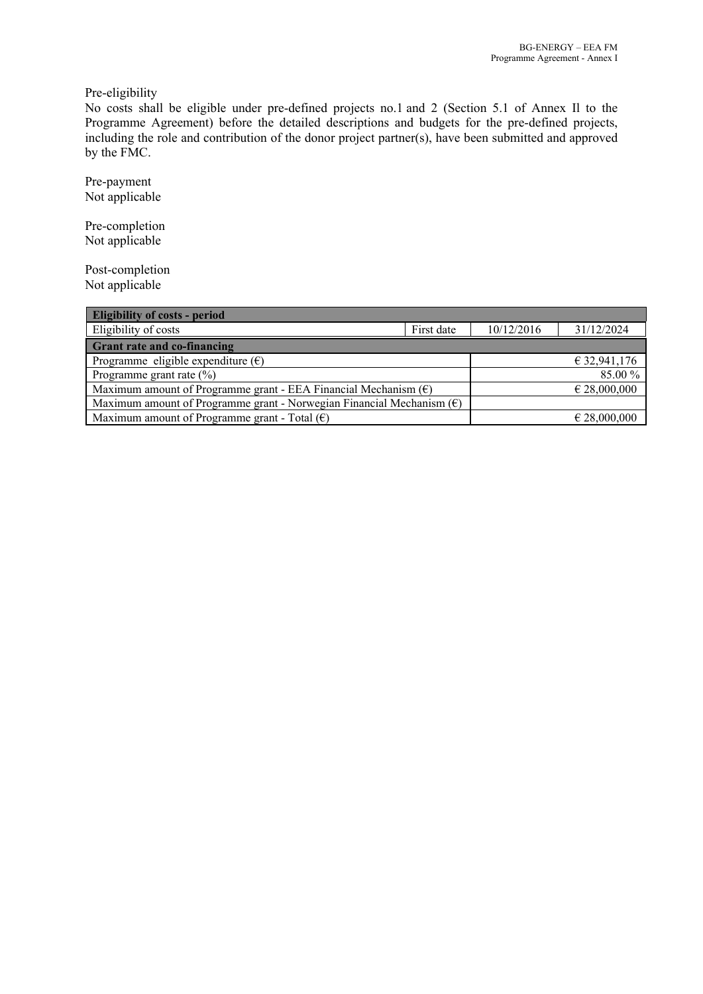Pre-eligibility

No costs shall be eligible under pre-defined projects no.1 and 2 (Section 5.1 of Annex Il to the Programme Agreement) before the detailed descriptions and budgets for the pre-defined projects, including the role and contribution of the donor project partner(s), have been submitted and approved by the FMC.

Pre-payment Not applicable

Pre-completion Not applicable

Post-completion Not applicable

| <b>Eligibility of costs - period</b>                                            |  |                  |  |  |  |  |  |  |
|---------------------------------------------------------------------------------|--|------------------|--|--|--|--|--|--|
| Eligibility of costs<br>First date                                              |  |                  |  |  |  |  |  |  |
| <b>Grant rate and co-financing</b>                                              |  |                  |  |  |  |  |  |  |
| Programme eligible expenditure $(\epsilon)$<br>€ 32,941,176                     |  |                  |  |  |  |  |  |  |
| 85.00 %<br>Programme grant rate $(\%)$                                          |  |                  |  |  |  |  |  |  |
| Maximum amount of Programme grant - EEA Financial Mechanism $(\epsilon)$        |  | $\in$ 28,000,000 |  |  |  |  |  |  |
| Maximum amount of Programme grant - Norwegian Financial Mechanism $(\epsilon)$  |  |                  |  |  |  |  |  |  |
| Maximum amount of Programme grant - Total $(\epsilon)$<br>$\epsilon$ 28,000,000 |  |                  |  |  |  |  |  |  |
|                                                                                 |  | 10/12/2016       |  |  |  |  |  |  |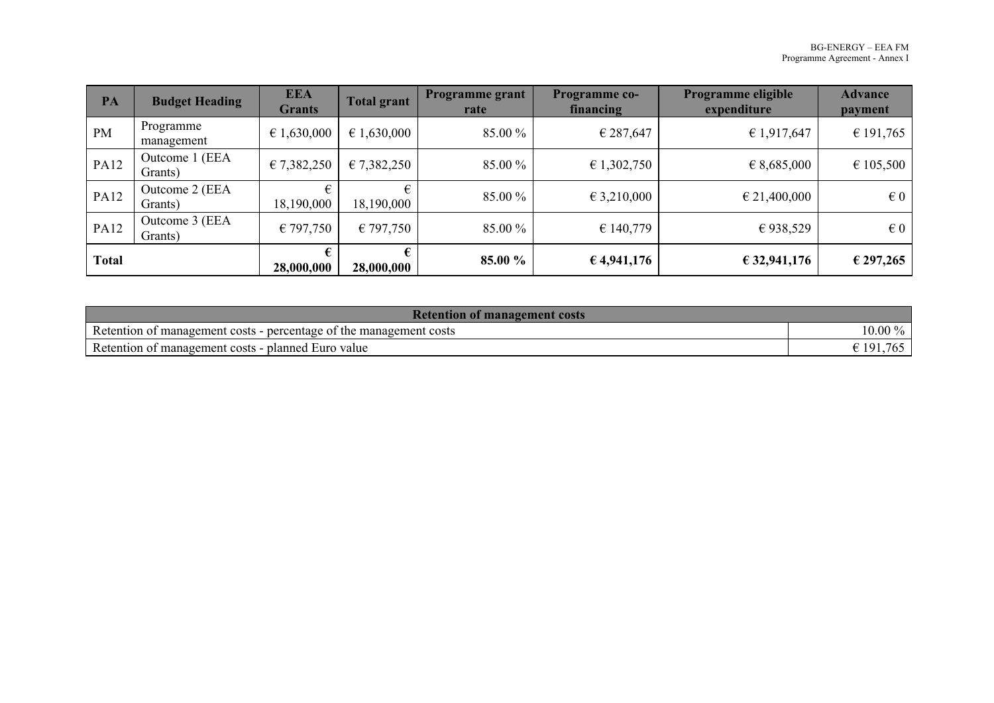| PA           | <b>Budget Heading</b>     | <b>EEA</b><br><b>Grants</b> | <b>Total grant</b>   | <b>Programme grant</b><br>rate | <b>Programme co-</b><br>financing | Programme eligible<br>expenditure | <b>Advance</b><br>payment |
|--------------|---------------------------|-----------------------------|----------------------|--------------------------------|-----------------------------------|-----------------------------------|---------------------------|
| PM           | Programme<br>management   | $\epsilon$ 1,630,000        | $\epsilon$ 1,630,000 | 85.00 %                        | € 287,647                         | € 1,917,647                       | € 191,765                 |
| <b>PA12</b>  | Outcome 1 (EEA<br>Grants) | € 7,382,250                 | € 7,382,250          | 85.00 %                        | € 1,302,750                       | $\epsilon$ 8,685,000              | € 105,500                 |
| <b>PA12</b>  | Outcome 2 (EEA<br>Grants) | 18,190,000                  | 18,190,000           | 85.00 %                        | $\epsilon$ 3,210,000              | $\epsilon$ 21,400,000             | $\in 0$                   |
| <b>PA12</b>  | Outcome 3 (EEA<br>Grants) | €797,750                    | €797,750             | 85.00 %                        | € 140,779                         | €938,529                          | $\epsilon$ 0              |
| <b>Total</b> |                           | 28,000,000                  | 28,000,000           | 85.00 %                        | € 4,941,176                       | € 32,941,176                      | € 297,265                 |

| <b>Retention of management costs</b>                                            |                                            |  |  |  |  |
|---------------------------------------------------------------------------------|--------------------------------------------|--|--|--|--|
| Retention of<br>percentage of the management costs<br>r management o<br>t costs | $10.00\,\%$<br>70.                         |  |  |  |  |
| Retention of<br>Euro value<br>planned.<br>t management costs                    | $ -$<br>$\cdot$ 10 <sup>1</sup><br>u<br>v. |  |  |  |  |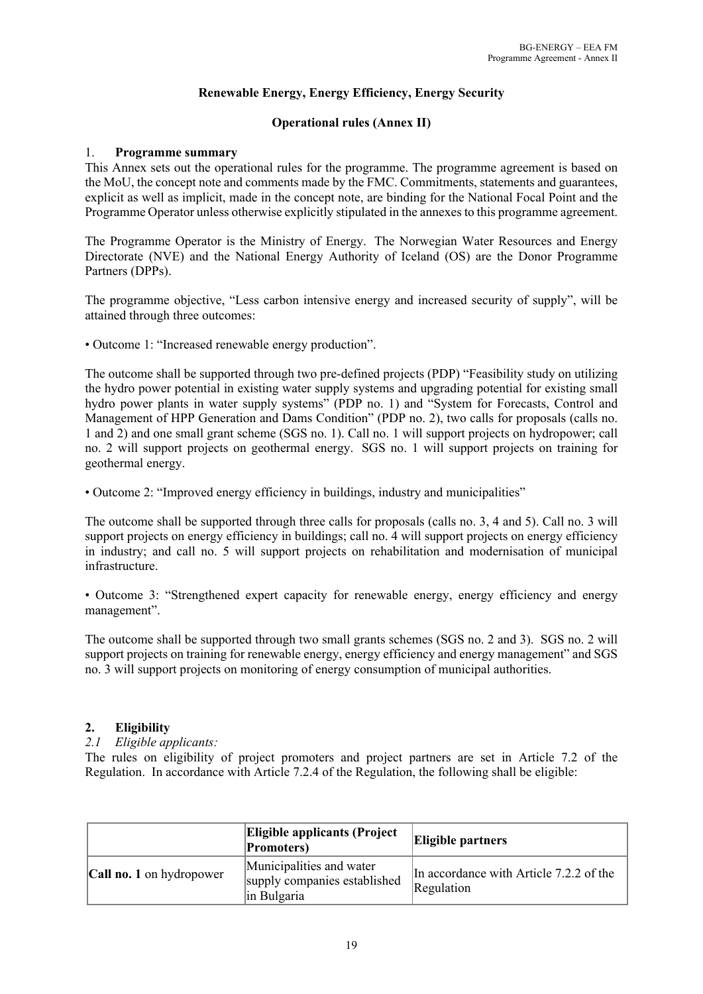# **Renewable Energy, Energy Efficiency, Energy Security**

# **Operational rules (Annex II)**

# 1. **Programme summary**

This Annex sets out the operational rules for the programme. The programme agreement is based on the MoU, the concept note and comments made by the FMC. Commitments, statements and guarantees, explicit as well as implicit, made in the concept note, are binding for the National Focal Point and the Programme Operator unless otherwise explicitly stipulated in the annexes to this programme agreement.

The Programme Operator is the Ministry of Energy. The Norwegian Water Resources and Energy Directorate (NVE) and the National Energy Authority of Iceland (OS) are the Donor Programme Partners (DPPs).

The programme objective, "Less carbon intensive energy and increased security of supply", will be attained through three outcomes:

• Outcome 1: "Increased renewable energy production".

The outcome shall be supported through two pre-defined projects (PDP) "Feasibility study on utilizing the hydro power potential in existing water supply systems and upgrading potential for existing small hydro power plants in water supply systems" (PDP no. 1) and "System for Forecasts, Control аnd Management оf HPP Generation аnd Dams Condition" (PDP no. 2), two calls for proposals (calls no. 1 and 2) and one small grant scheme (SGS no. 1). Call no. 1 will support projects on hydropower; call no. 2 will support projects on geothermal energy. SGS no. 1 will support projects on training for geothermal energy.

• Outcome 2: "Improved energy efficiency in buildings, industry and municipalities"

The outcome shall be supported through three calls for proposals (calls no. 3, 4 and 5). Call no. 3 will support projects on energy efficiency in buildings; call no. 4 will support projects on energy efficiency in industry; and call no. 5 will support projects on rehabilitation and modernisation of municipal infrastructure.

• Outcome 3: "Strengthened expert capacity for renewable energy, energy efficiency and energy management".

The outcome shall be supported through two small grants schemes (SGS no. 2 and 3). SGS no. 2 will support projects on training for renewable energy, energy efficiency and energy management" and SGS no. 3 will support projects on monitoring of energy consumption of municipal authorities.

# **2. Eligibility**

#### *2.1 Eligible applicants:*

The rules on eligibility of project promoters and project partners are set in Article 7.2 of the Regulation. In accordance with Article 7.2.4 of the Regulation, the following shall be eligible:

|                                 | <b>Eligible applicants (Project</b><br><b>Promoters</b> )               | <b>Eligible partners</b>                              |
|---------------------------------|-------------------------------------------------------------------------|-------------------------------------------------------|
| <b>Call no. 1</b> on hydropower | Municipalities and water<br>supply companies established<br>in Bulgaria | In accordance with Article 7.2.2 of the<br>Regulation |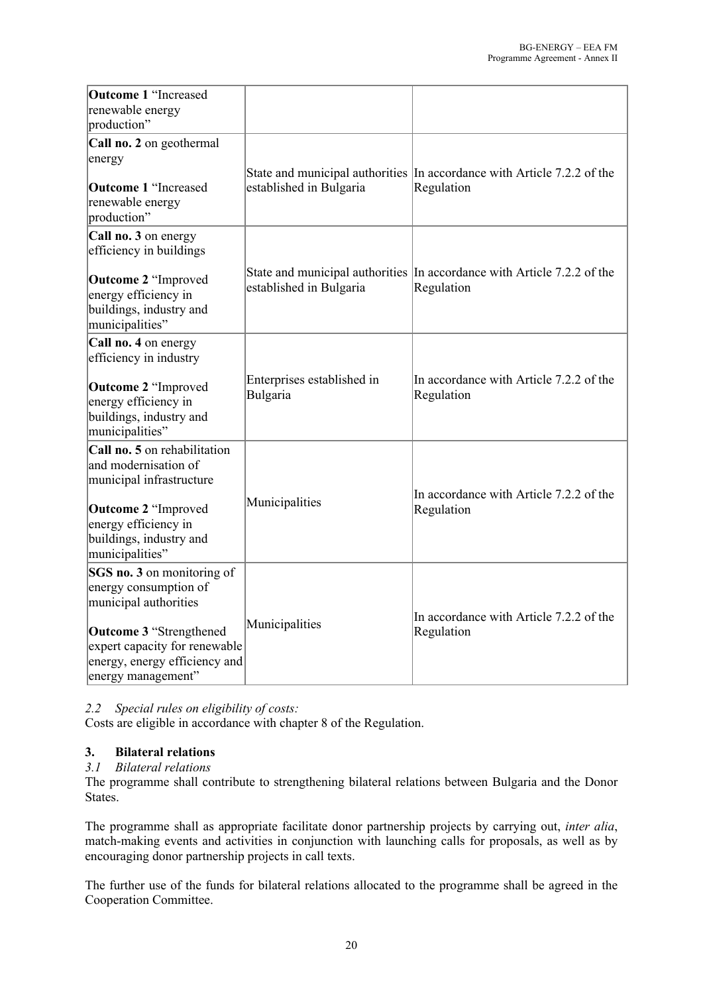| <b>Outcome 1 "Increased</b><br>renewable energy<br>production"                                                         |                                        |                                                                                       |
|------------------------------------------------------------------------------------------------------------------------|----------------------------------------|---------------------------------------------------------------------------------------|
| Call no. 2 on geothermal<br>energy<br><b>Outcome 1 "Increased</b><br>renewable energy<br>production"                   | established in Bulgaria                | State and municipal authorities In accordance with Article 7.2.2 of the<br>Regulation |
| Call no. 3 on energy<br>efficiency in buildings                                                                        |                                        |                                                                                       |
| <b>Outcome 2 "Improved</b><br>energy efficiency in<br>buildings, industry and<br>municipalities"                       | established in Bulgaria                | State and municipal authorities In accordance with Article 7.2.2 of the<br>Regulation |
| Call no. 4 on energy<br>efficiency in industry                                                                         |                                        |                                                                                       |
| <b>Outcome 2 "Improved</b><br>energy efficiency in<br>buildings, industry and<br>municipalities"                       | Enterprises established in<br>Bulgaria | In accordance with Article 7.2.2 of the<br>Regulation                                 |
| Call no. 5 on rehabilitation<br>and modernisation of<br>municipal infrastructure                                       |                                        | In accordance with Article 7.2.2 of the                                               |
| <b>Outcome 2 "Improved</b><br>energy efficiency in<br>buildings, industry and<br>municipalities"                       | Municipalities                         | Regulation                                                                            |
| SGS no. 3 on monitoring of<br>energy consumption of<br>municipal authorities                                           |                                        |                                                                                       |
| <b>Outcome 3 "Strengthened</b><br>expert capacity for renewable<br>energy, energy efficiency and<br>energy management" | Municipalities                         | In accordance with Article 7.2.2 of the<br>Regulation                                 |

*2.2 Special rules on eligibility of costs:* 

Costs are eligible in accordance with chapter 8 of the Regulation.

# **3. Bilateral relations**

#### *3.1 Bilateral relations*

The programme shall contribute to strengthening bilateral relations between Bulgaria and the Donor States.

The programme shall as appropriate facilitate donor partnership projects by carrying out, *inter alia*, match-making events and activities in conjunction with launching calls for proposals, as well as by encouraging donor partnership projects in call texts.

The further use of the funds for bilateral relations allocated to the programme shall be agreed in the Cooperation Committee.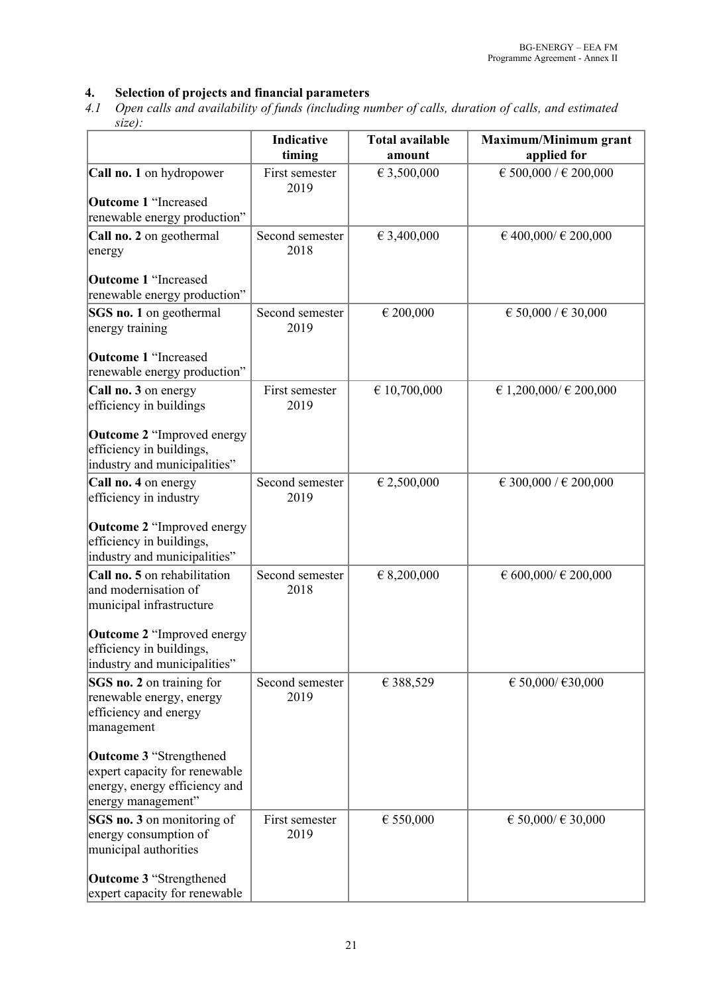# **4. Selection of projects and financial parameters**

*4.1 Open calls and availability of funds (including number of calls, duration of calls, and estimated size):*

|                                                                                                                        | Indicative<br>timing    | <b>Total available</b><br>amount | <b>Maximum/Minimum grant</b><br>applied for |
|------------------------------------------------------------------------------------------------------------------------|-------------------------|----------------------------------|---------------------------------------------|
| Call no. 1 on hydropower                                                                                               | First semester<br>2019  | € 3,500,000                      | € 500,000 / € 200,000                       |
| <b>Outcome 1 "Increased</b><br>renewable energy production"                                                            |                         |                                  |                                             |
| Call no. 2 on geothermal<br>energy                                                                                     | Second semester<br>2018 | € 3,400,000                      | $\in$ 400,000/ $\in$ 200,000                |
| <b>Outcome 1 "Increased</b><br>renewable energy production"                                                            |                         |                                  |                                             |
| SGS no. 1 on geothermal<br>energy training                                                                             | Second semester<br>2019 | € 200,000                        | € 50,000 / € 30,000                         |
| <b>Outcome 1 "Increased</b><br>renewable energy production"                                                            |                         |                                  |                                             |
| Call no. 3 on energy<br>efficiency in buildings                                                                        | First semester<br>2019  | € 10,700,000                     | € 1,200,000/ € 200,000                      |
| <b>Outcome 2 "Improved energy</b><br>efficiency in buildings,<br>industry and municipalities"                          |                         |                                  |                                             |
| Call no. 4 on energy<br>efficiency in industry                                                                         | Second semester<br>2019 | € 2,500,000                      | € 300,000 / € 200,000                       |
| <b>Outcome 2 "Improved energy</b><br>efficiency in buildings,<br>industry and municipalities"                          |                         |                                  |                                             |
| Call no. 5 on rehabilitation<br>and modernisation of<br>municipal infrastructure                                       | Second semester<br>2018 | € 8,200,000                      | $\in$ 600,000/ $\in$ 200,000                |
| <b>Outcome 2 "Improved energy</b><br>efficiency in buildings,<br>industry and municipalities"                          |                         |                                  |                                             |
| SGS no. 2 on training for<br>renewable energy, energy<br>efficiency and energy<br>management                           | Second semester<br>2019 | € 388,529                        | € 50,000/ €30,000                           |
| <b>Outcome 3 "Strengthened</b><br>expert capacity for renewable<br>energy, energy efficiency and<br>energy management" |                         |                                  |                                             |
| SGS no. 3 on monitoring of<br>energy consumption of<br>municipal authorities                                           | First semester<br>2019  | $\in$ 550,000                    | € 50,000/ € 30,000                          |
| Outcome 3 "Strengthened<br>expert capacity for renewable                                                               |                         |                                  |                                             |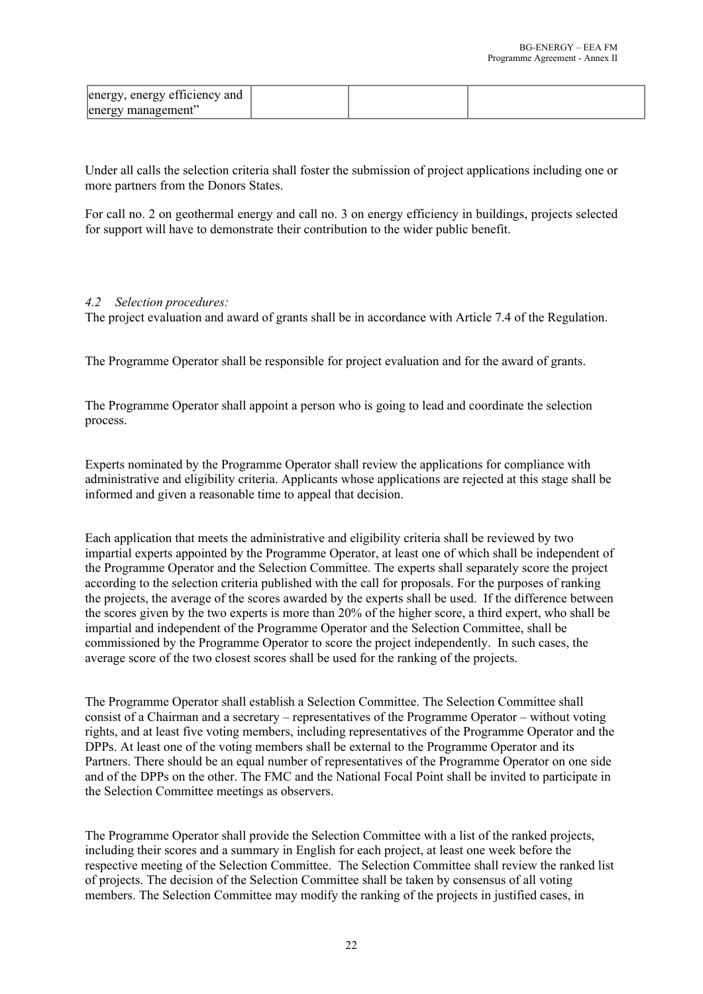| energy, energy efficiency and |  |  |
|-------------------------------|--|--|
| energy management"            |  |  |

Under all calls the selection criteria shall foster the submission of project applications including one or more partners from the Donors States.

For call no. 2 on geothermal energy and call no. 3 on energy efficiency in buildings, projects selected for support will have to demonstrate their contribution to the wider public benefit.

#### *4.2 Selection procedures:*

The project evaluation and award of grants shall be in accordance with Article 7.4 of the Regulation.

The Programme Operator shall be responsible for project evaluation and for the award of grants.

The Programme Operator shall appoint a person who is going to lead and coordinate the selection process.

Experts nominated by the Programme Operator shall review the applications for compliance with administrative and eligibility criteria. Applicants whose applications are rejected at this stage shall be informed and given a reasonable time to appeal that decision.

Each application that meets the administrative and eligibility criteria shall be reviewed by two impartial experts appointed by the Programme Operator, at least one of which shall be independent of the Programme Operator and the Selection Committee. The experts shall separately score the project according to the selection criteria published with the call for proposals. For the purposes of ranking the projects, the average of the scores awarded by the experts shall be used. If the difference between the scores given by the two experts is more than 20% of the higher score, a third expert, who shall be impartial and independent of the Programme Operator and the Selection Committee, shall be commissioned by the Programme Operator to score the project independently. In such cases, the average score of the two closest scores shall be used for the ranking of the projects.

The Programme Operator shall establish a Selection Committee. The Selection Committee shall consist of a Chairman and a secretary – representatives of the Programme Operator – without voting rights, and at least five voting members, including representatives of the Programme Operator and the DPPs. At least one of the voting members shall be external to the Programme Operator and its Partners. There should be an equal number of representatives of the Programme Operator on one side and of the DPPs on the other. The FMC and the National Focal Point shall be invited to participate in the Selection Committee meetings as observers.

The Programme Operator shall provide the Selection Committee with a list of the ranked projects, including their scores and a summary in English for each project, at least one week before the respective meeting of the Selection Committee. The Selection Committee shall review the ranked list of projects. The decision of the Selection Committee shall be taken by consensus of all voting members. The Selection Committee may modify the ranking of the projects in justified cases, in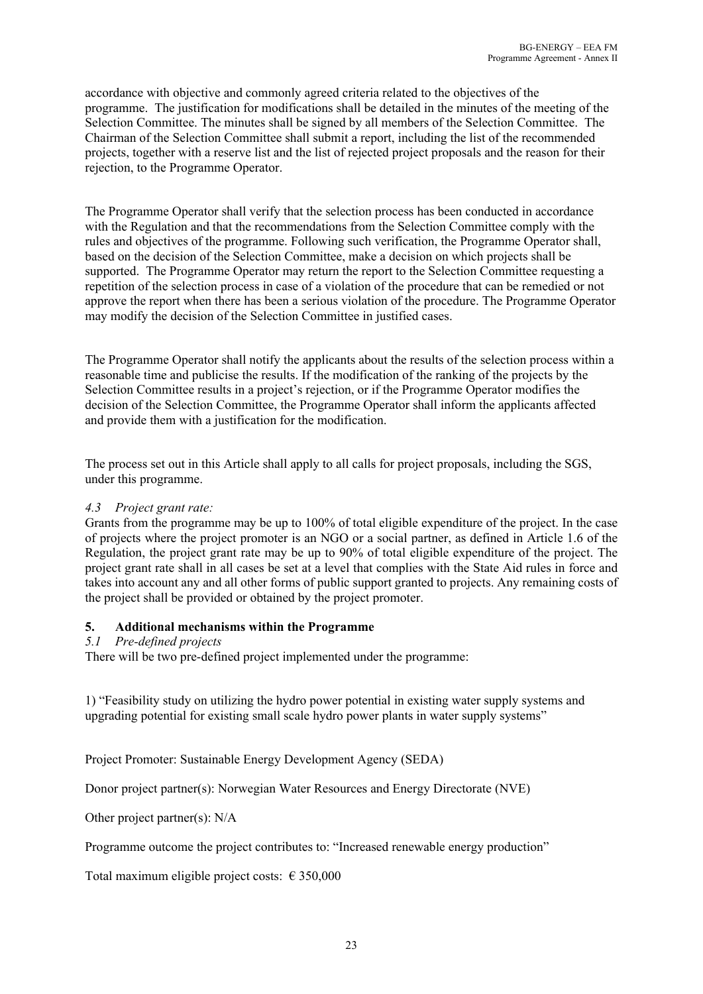accordance with objective and commonly agreed criteria related to the objectives of the programme. The justification for modifications shall be detailed in the minutes of the meeting of the Selection Committee. The minutes shall be signed by all members of the Selection Committee. The Chairman of the Selection Committee shall submit a report, including the list of the recommended projects, together with a reserve list and the list of rejected project proposals and the reason for their rejection, to the Programme Operator.

The Programme Operator shall verify that the selection process has been conducted in accordance with the Regulation and that the recommendations from the Selection Committee comply with the rules and objectives of the programme. Following such verification, the Programme Operator shall, based on the decision of the Selection Committee, make a decision on which projects shall be supported. The Programme Operator may return the report to the Selection Committee requesting a repetition of the selection process in case of a violation of the procedure that can be remedied or not approve the report when there has been a serious violation of the procedure. The Programme Operator may modify the decision of the Selection Committee in justified cases.

The Programme Operator shall notify the applicants about the results of the selection process within a reasonable time and publicise the results. If the modification of the ranking of the projects by the Selection Committee results in a project's rejection, or if the Programme Operator modifies the decision of the Selection Committee, the Programme Operator shall inform the applicants affected and provide them with a justification for the modification.

The process set out in this Article shall apply to all calls for project proposals, including the SGS, under this programme.

# *4.3 Project grant rate:*

Grants from the programme may be up to 100% of total eligible expenditure of the project. In the case of projects where the project promoter is an NGO or a social partner, as defined in Article 1.6 of the Regulation, the project grant rate may be up to 90% of total eligible expenditure of the project. The project grant rate shall in all cases be set at a level that complies with the State Aid rules in force and takes into account any and all other forms of public support granted to projects. Any remaining costs of the project shall be provided or obtained by the project promoter.

# **5. Additional mechanisms within the Programme**

# *5.1 Pre-defined projects*

There will be two pre-defined project implemented under the programme:

1) "Feasibility study on utilizing the hydro power potential in existing water supply systems and upgrading potential for existing small scale hydro power plants in water supply systems"

Project Promoter: Sustainable Energy Development Agency (SEDA)

Donor project partner(s): Norwegian Water Resources and Energy Directorate (NVE)

Other project partner(s): N/A

Programme outcome the project contributes to: "Increased renewable energy production"

Total maximum eligible project costs:  $\epsilon$  350,000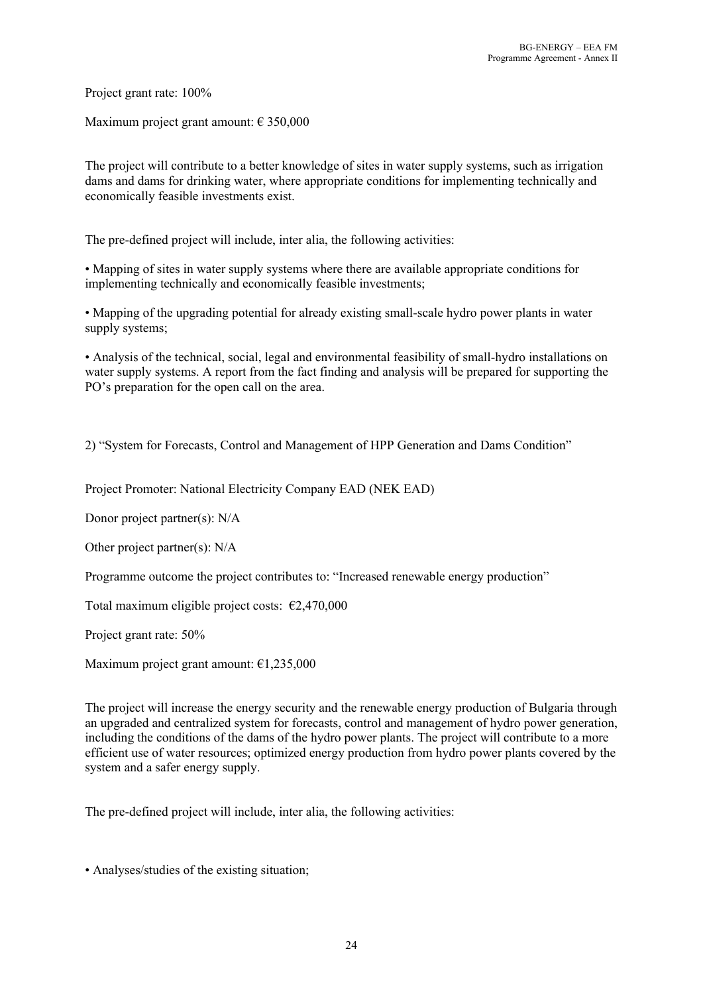Project grant rate: 100%

Maximum project grant amount:  $\epsilon$  350,000

The project will contribute to a better knowledge of sites in water supply systems, such as irrigation dams and dams for drinking water, where appropriate conditions for implementing technically and economically feasible investments exist.

The pre-defined project will include, inter alia, the following activities:

• Mapping of sites in water supply systems where there are available appropriate conditions for implementing technically and economically feasible investments;

• Mapping of the upgrading potential for already existing small-scale hydro power plants in water supply systems;

• Analysis of the technical, social, legal and environmental feasibility of small-hydro installations on water supply systems. A report from the fact finding and analysis will be prepared for supporting the PO's preparation for the open call on the area.

2) "System for Forecasts, Control аnd Management оf HPP Generation аnd Dams Condition"

Project Promoter: National Electricity Company EAD (NEK EAD)

Donor project partner(s): N/A

Other project partner(s): N/A

Programme outcome the project contributes to: "Increased renewable energy production"

Total maximum eligible project costs:  $\epsilon$ 2,470,000

Project grant rate: 50%

Maximum project grant amount: €1,235,000

The project will increase the energy security and the renewable energy production of Bulgaria through an upgraded and centralized system for forecasts, control and management of hydro power generation, including the conditions of the dams of the hydro power plants. The project will contribute to a more efficient use of water resources; optimized energy production from hydro power plants covered by the system and a safer energy supply.

The pre-defined project will include, inter alia, the following activities:

• Analyses/studies of the existing situation;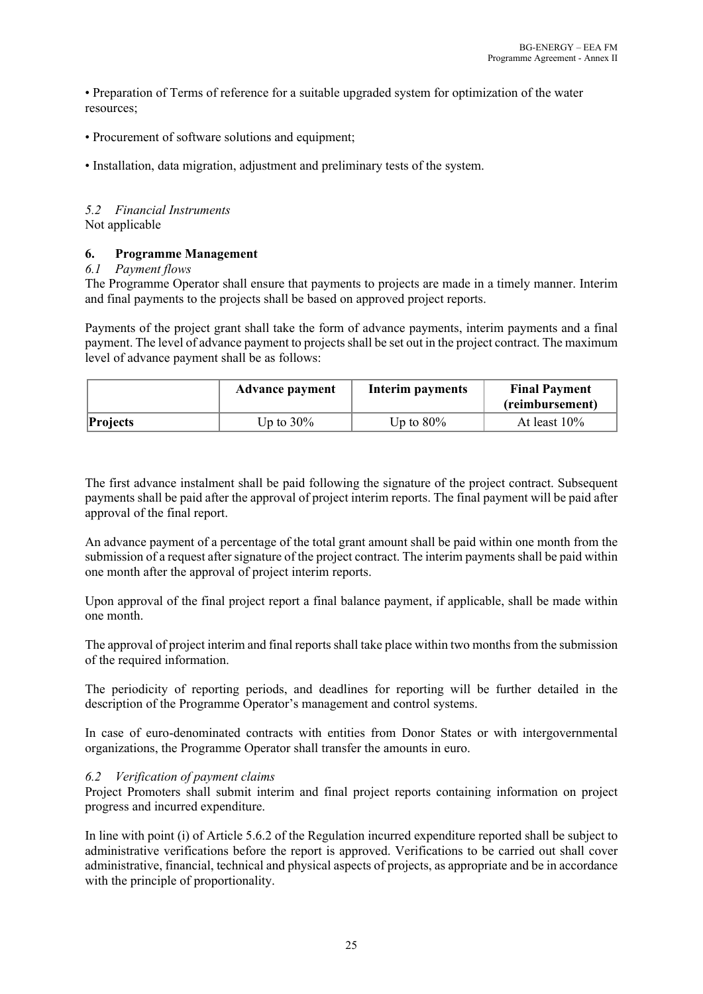• Preparation of Terms of reference for a suitable upgraded system for optimization of the water resources;

• Procurement of software solutions and equipment:

• Installation, data migration, adjustment and preliminary tests of the system.

#### *5.2 Financial Instruments* Not applicable

## **6. Programme Management**

#### *6.1 Payment flows*

The Programme Operator shall ensure that payments to projects are made in a timely manner. Interim and final payments to the projects shall be based on approved project reports.

Payments of the project grant shall take the form of advance payments, interim payments and a final payment. The level of advance payment to projects shall be set out in the project contract. The maximum level of advance payment shall be as follows:

|                 | <b>Advance payment</b> | Interim payments | <b>Final Payment</b><br>(reimbursement) |
|-----------------|------------------------|------------------|-----------------------------------------|
| <b>Projects</b> | Up to $30\%$           | Up to $80\%$     | At least $10\%$                         |

The first advance instalment shall be paid following the signature of the project contract. Subsequent payments shall be paid after the approval of project interim reports. The final payment will be paid after approval of the final report.

An advance payment of a percentage of the total grant amount shall be paid within one month from the submission of a request after signature of the project contract. The interim payments shall be paid within one month after the approval of project interim reports.

Upon approval of the final project report a final balance payment, if applicable, shall be made within one month.

The approval of project interim and final reports shall take place within two months from the submission of the required information.

The periodicity of reporting periods, and deadlines for reporting will be further detailed in the description of the Programme Operator's management and control systems.

In case of euro-denominated contracts with entities from Donor States or with intergovernmental organizations, the Programme Operator shall transfer the amounts in euro.

# *6.2 Verification of payment claims*

Project Promoters shall submit interim and final project reports containing information on project progress and incurred expenditure.

In line with point (i) of Article 5.6.2 of the Regulation incurred expenditure reported shall be subject to administrative verifications before the report is approved. Verifications to be carried out shall cover administrative, financial, technical and physical aspects of projects, as appropriate and be in accordance with the principle of proportionality.